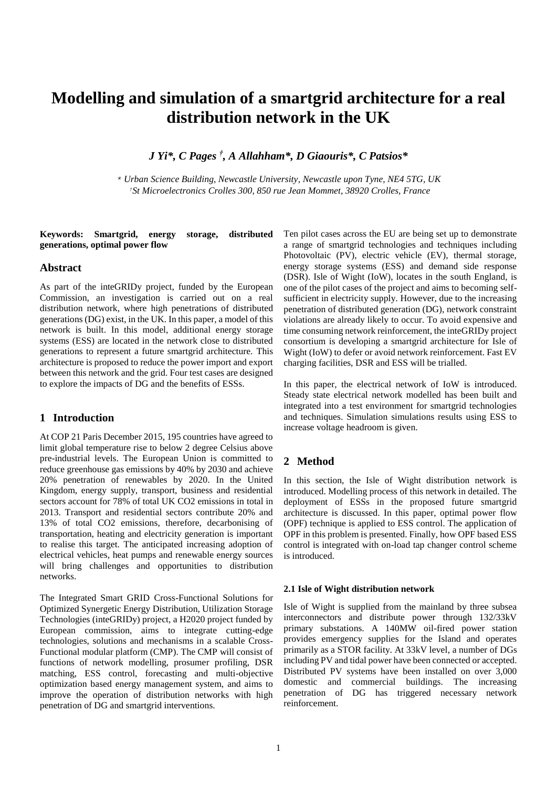# **Modelling and simulation of a smartgrid architecture for a real distribution network in the UK**

*J Yi\*, C Pages † , A Allahham\*, D Giaouris\*, C Patsios\**

*\* Urban Science Building, Newcastle University, Newcastle upon Tyne, NE4 5TG, UK †St Microelectronics Crolles 300, 850 rue Jean Mommet, 38920 Crolles, France*

## **Keywords: Smartgrid, energy storage, distributed generations, optimal power flow**

## **Abstract**

As part of the inteGRIDy project, funded by the European Commission, an investigation is carried out on a real distribution network, where high penetrations of distributed generations (DG) exist, in the UK. In this paper, a model of this network is built. In this model, additional energy storage systems (ESS) are located in the network close to distributed generations to represent a future smartgrid architecture. This architecture is proposed to reduce the power import and export between this network and the grid. Four test cases are designed to explore the impacts of DG and the benefits of ESSs.

# **1 Introduction**

At COP 21 Paris December 2015, 195 countries have agreed to limit global temperature rise to below 2 degree Celsius above pre-industrial levels. The European Union is committed to reduce greenhouse gas emissions by 40% by 2030 and achieve 20% penetration of renewables by 2020. In the United Kingdom, energy supply, transport, business and residential sectors account for 78% of total UK CO2 emissions in total in 2013. Transport and residential sectors contribute 20% and 13% of total CO2 emissions, therefore, decarbonising of transportation, heating and electricity generation is important to realise this target. The anticipated increasing adoption of electrical vehicles, heat pumps and renewable energy sources will bring challenges and opportunities to distribution networks.

The Integrated Smart GRID Cross-Functional Solutions for Optimized Synergetic Energy Distribution, Utilization Storage Technologies (inteGRIDy) project, a H2020 project funded by European commission, aims to integrate cutting-edge technologies, solutions and mechanisms in a scalable Cross-Functional modular platform (CMP). The CMP will consist of functions of network modelling, prosumer profiling, DSR matching, ESS control, forecasting and multi-objective optimization based energy management system, and aims to improve the operation of distribution networks with high penetration of DG and smartgrid interventions.

Ten pilot cases across the EU are being set up to demonstrate a range of smartgrid technologies and techniques including Photovoltaic (PV), electric vehicle (EV), thermal storage, energy storage systems (ESS) and demand side response (DSR). Isle of Wight (IoW), locates in the south England, is one of the pilot cases of the project and aims to becoming selfsufficient in electricity supply. However, due to the increasing penetration of distributed generation (DG), network constraint violations are already likely to occur. To avoid expensive and time consuming network reinforcement, the inteGRIDy project consortium is developing a smartgrid architecture for Isle of Wight (IoW) to defer or avoid network reinforcement. Fast EV charging facilities, DSR and ESS will be trialled.

In this paper, the electrical network of IoW is introduced. Steady state electrical network modelled has been built and integrated into a test environment for smartgrid technologies and techniques. Simulation simulations results using ESS to increase voltage headroom is given.

## **2 Method**

In this section, the Isle of Wight distribution network is introduced. Modelling process of this network in detailed. The deployment of ESSs in the proposed future smartgrid architecture is discussed. In this paper, optimal power flow (OPF) technique is applied to ESS control. The application of OPF in this problem is presented. Finally, how OPF based ESS control is integrated with on-load tap changer control scheme is introduced.

#### **2.1 Isle of Wight distribution network**

Isle of Wight is supplied from the mainland by three subsea interconnectors and distribute power through 132/33kV primary substations. A 140MW oil-fired power station provides emergency supplies for the Island and operates primarily as a STOR facility. At 33kV level, a number of DGs including PV and tidal power have been connected or accepted. Distributed PV systems have been installed on over 3,000 domestic and commercial buildings. The increasing penetration of DG has triggered necessary network reinforcement.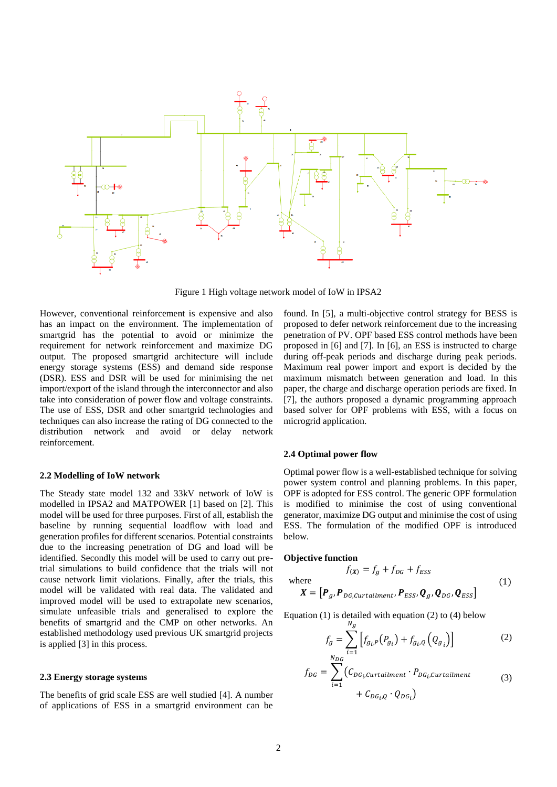

Figure 1 High voltage network model of IoW in IPSA2

However, conventional reinforcement is expensive and also has an impact on the environment. The implementation of smartgrid has the potential to avoid or minimize the requirement for network reinforcement and maximize DG output. The proposed smartgrid architecture will include energy storage systems (ESS) and demand side response (DSR). ESS and DSR will be used for minimising the net import/export of the island through the interconnector and also take into consideration of power flow and voltage constraints. The use of ESS, DSR and other smartgrid technologies and techniques can also increase the rating of DG connected to the distribution network and avoid or delay network reinforcement.

## **2.2 Modelling of IoW network**

The Steady state model 132 and 33kV network of IoW is modelled in IPSA2 and MATPOWER [1] based on [2]. This model will be used for three purposes. First of all, establish the baseline by running sequential loadflow with load and generation profiles for different scenarios. Potential constraints due to the increasing penetration of DG and load will be identified. Secondly this model will be used to carry out pretrial simulations to build confidence that the trials will not cause network limit violations. Finally, after the trials, this model will be validated with real data. The validated and improved model will be used to extrapolate new scenarios, simulate unfeasible trials and generalised to explore the benefits of smartgrid and the CMP on other networks. An established methodology used previous UK smartgrid projects is applied [3] in this process.

## **2.3 Energy storage systems**

The benefits of grid scale ESS are well studied [4]. A number of applications of ESS in a smartgrid environment can be

found. In [5], a multi-objective control strategy for BESS is proposed to defer network reinforcement due to the increasing penetration of PV. OPF based ESS control methods have been proposed in [6] and [7]. In [6], an ESS is instructed to charge during off-peak periods and discharge during peak periods. Maximum real power import and export is decided by the maximum mismatch between generation and load. In this paper, the charge and discharge operation periods are fixed. In [7], the authors proposed a dynamic programming approach based solver for OPF problems with ESS, with a focus on microgrid application.

## **2.4 Optimal power flow**

Optimal power flow is a well-established technique for solving power system control and planning problems. In this paper, OPF is adopted for ESS control. The generic OPF formulation is modified to minimise the cost of using conventional generator, maximize DG output and minimise the cost of using ESS. The formulation of the modified OPF is introduced below.

#### **Objective function**

$$
f(x) = f_g + f_{DG} + f_{ESS}
$$
  
where  

$$
X = [\boldsymbol{P}_g, \boldsymbol{P}_{DG, \text{Curtailment}}, \boldsymbol{P}_{ESS}, \boldsymbol{Q}_g, \boldsymbol{Q}_{DG}, \boldsymbol{Q}_{ESS}]
$$
 (1)

Equation  $(1)$  is detailed with equation  $(2)$  to  $(4)$  below

<span id="page-1-1"></span><span id="page-1-0"></span>
$$
f_g = \sum_{i=1}^{N_g} \left[ f_{g_i, P}(P_{g_i}) + f_{g_i, Q}(Q_{g_i}) \right]
$$
 (2)

$$
f_{DG} = \sum_{i=1}^{1} \left( C_{DG_i, \text{Curtailment}} \cdot P_{DG_i, \text{Curtailment}} + C_{DG_i, Q} \cdot Q_{DG_i} \right) \tag{3}
$$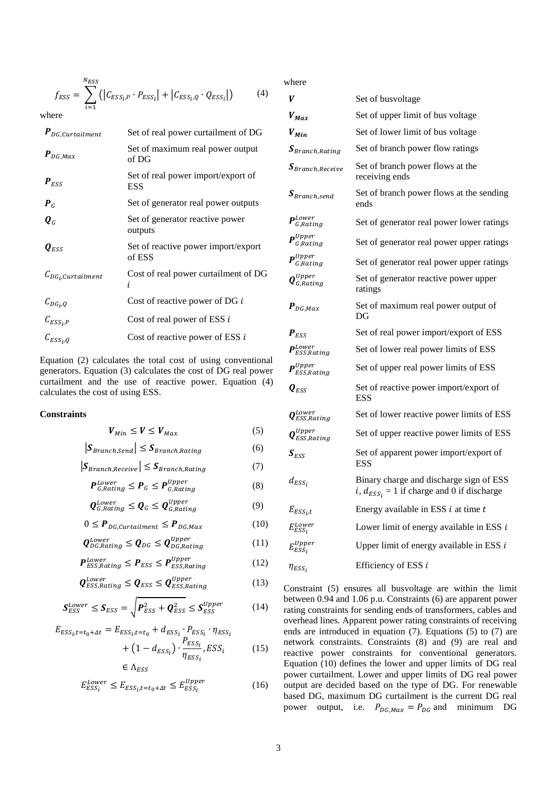$$
f_{ESS} = \sum_{i=1}^{N_{ESS}} (|C_{ESS_{i},P} \cdot P_{ESS_{i}}| + |C_{ESS_{i},Q} \cdot Q_{ESS_{i}}|)
$$
(4)

where

| $\bm{P}_{DG,Curtailment}$     | Set of real power curtailment of DG           |
|-------------------------------|-----------------------------------------------|
| $\bm{P}_{DG,Max}$             | Set of maximum real power output<br>of DG     |
| $P_{ESS}$                     | Set of real power import/export of<br>ESS     |
| $P_G$                         | Set of generator real power outputs           |
| $\boldsymbol{Q}_G$            | Set of generator reactive power<br>outputs    |
| $\bm{Q}_{FSC}$                | Set of reactive power import/export<br>of ESS |
| $C_{DG_i, Curtailment}$       | Cost of real power curtailment of DG<br>i.    |
|                               | Cost of reactive power of DG i                |
| $C_{DG_i,Q}$<br>$C_{ESS_i,P}$ | Cost of real power of ESS $i$                 |
| $C_{ESS_i,Q}$                 | Cost of reactive power of ESS i               |

Equation [\(2\)](#page-1-0) calculates the total cost of using conventional generators. Equation [\(3\)](#page-1-1) calculates the cost of DG real power curtailment and the use of reactive power. Equation [\(4\)](#page-2-0) calculates the cost of using ESS.

## **Constraints**

<span id="page-2-2"></span><span id="page-2-1"></span>
$$
V_{Min} \le V \le V_{Max} \tag{5}
$$

$$
|\mathbf{S}_{Branch,Send}| \leq \mathbf{S}_{Branch,Rating}
$$
 (6)

$$
|S_{Branch, Receiver}| \leq S_{Branch,Rating
$$
 (7)

$$
P_{G,Rating}^{Lower} \le P_G \le P_{G,Rating}^{Upper} \tag{8}
$$

$$
\mathbf{Q}_{G,Rating}^{Lower} \le \mathbf{Q}_G \le \mathbf{Q}_{G,Rating}^{Upper} \tag{9}
$$

$$
0 \le P_{DG, \text{Curtailment}} \le P_{DG, \text{Max}} \tag{10}
$$

$$
\mathbf{Q}_{DG,Rating}^{Lower} \leq \mathbf{Q}_{DG} \leq \mathbf{Q}_{DG,Rating}^{Upper} \tag{11}
$$

$$
P_{ESS, Rating}^{Lower} \le P_{ESS} \le P_{ESS, Rating}^{Upper} \tag{12}
$$

$$
\mathbf{Q}_{ESS, Rating}^{Lower} \leq \mathbf{Q}_{ESS} \leq \mathbf{Q}_{ESS, Rating}^{Upper}
$$
\n(13)

$$
S_{ESS}^{Lower} \leq S_{ESS} = \sqrt{P_{ESS}^2 + Q_{ESS}^2} \leq S_{ESS}^{Upper}
$$
 (14)

$$
E_{ESS_{i},t=t_{0}+At} = E_{ESS_{i},t=t_{0}} + d_{ESS_{i}} \cdot P_{ESS_{i}} \cdot \eta_{ESS_{i}}
$$

$$
+ (1 - d_{ESS_i}) \cdot \frac{F_{ESS_i}}{\eta_{ESS_i}} , ESS_i \tag{15}
$$

$$
\in \Lambda_{ESS}
$$

$$
E_{ESS_i}^{Lower} \le E_{ESS_i, t = t_0 + \Delta t} \le E_{ESS_i}^{Upper}
$$
\n(16)

<span id="page-2-0"></span>where

| V                                   | Set of busvoltage                                                                                  |
|-------------------------------------|----------------------------------------------------------------------------------------------------|
| $V_{Max}$                           | Set of upper limit of bus voltage                                                                  |
| $V_{Min}$                           | Set of lower limit of bus voltage                                                                  |
| $\bm{S}_{Branch,Rating}$            | Set of branch power flow ratings                                                                   |
| $\bm{S}_{Branch, Receiver}$         | Set of branch power flows at the<br>receiving ends                                                 |
| $\mathcal{S}_{Branch, send}$        | Set of branch power flows at the sending<br>ends                                                   |
| $\bm{P}_{G,Rating}^{Lower}$         | Set of generator real power lower ratings                                                          |
| $P^{Upper}$<br>G,Rating             | Set of generator real power upper ratings                                                          |
| $\bm{P}_{G,Rating}^{Upper}$         | Set of generator real power upper ratings                                                          |
| $\bm{Q}_{G,Rating}^{Upper}$         | Set of generator reactive power upper<br>ratings                                                   |
| $\bm{P}_{DG,Max}$                   | Set of maximum real power output of<br>DG                                                          |
| $P_{ESS}$                           | Set of real power import/export of ESS                                                             |
| $\bm{P}_{ESS,Rating}^{Lower}$       | Set of lower real power limits of ESS                                                              |
| $\mathbf{P}^{Upper}$<br>ESS, Rating | Set of upper real power limits of ESS                                                              |
| $\bm{Q}_{ESS}$                      | Set of reactive power import/export of<br><b>ESS</b>                                               |
| $\bm{Q}_{ESS,Rating}^{Lower}$       | Set of lower reactive power limits of ESS                                                          |
| $\bm{Q}_{ESS,Rating}^{Upper}$       | Set of upper reactive power limits of ESS                                                          |
| $S_{ESS}$                           | Set of apparent power import/export of<br><b>ESS</b>                                               |
| $d_{ESS_i}$                         | Binary charge and discharge sign of ESS<br><i>i</i> , $d_{ESS_i} = 1$ if charge and 0 if discharge |
| $E_{ESS_i,t}$                       | Energy available in ESS $i$ at time $t$                                                            |
| $E_{ESS_i}^{Lower}$                 | Lower limit of energy available in ESS $i$                                                         |
| $E^{Upper}_{ESS_{\it 1}}$           | Upper limit of energy available in ESS $i$                                                         |
| $\eta_{ESS_i}$                      | Efficiency of ESS i                                                                                |

<span id="page-2-11"></span><span id="page-2-10"></span><span id="page-2-9"></span><span id="page-2-8"></span><span id="page-2-7"></span><span id="page-2-6"></span><span id="page-2-5"></span><span id="page-2-4"></span><span id="page-2-3"></span>Constraint [\(5\)](#page-2-1) ensures all busvoltage are within the limit between 0.94 and 1.06 p.u. Constraints [\(6\)](#page-2-2) are apparent power rating constraints for sending ends of transformers, cables and overhead lines. Apparent power rating constraints of receiving ends are introduced in equation [\(7\).](#page-2-3) Equations [\(5\)](#page-2-1) to [\(7\)](#page-2-3) are network constraints. Constraints [\(8\)](#page-2-4) and [\(9\)](#page-2-5) are real and reactive power constraints for conventional generators. Equation [\(10\)](#page-2-6) defines the lower and upper limits of DG real power curtailment. Lower and upper limits of DG real power output are decided based on the type of DG. For renewable based DG, maximum DG curtailment is the current DG real power output, i.e.  $P_{DG,Max} = P_{DG}$  and minimum DG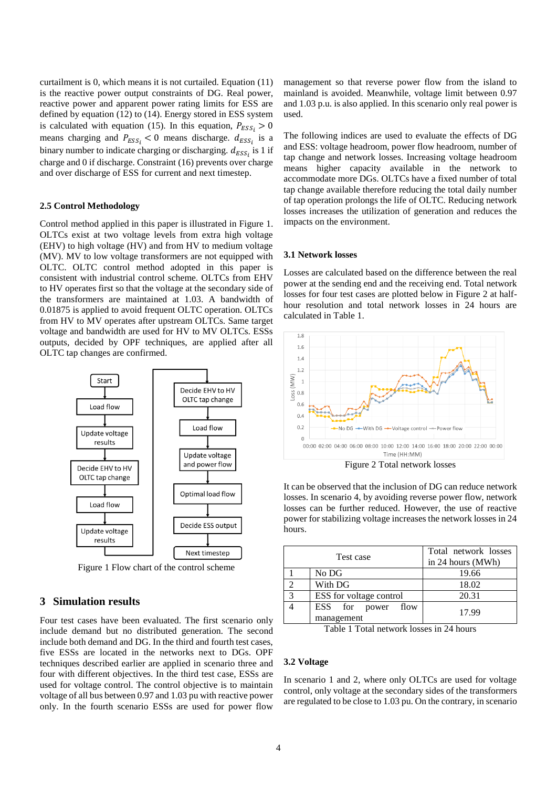curtailment is 0, which means it is not curtailed. Equation [\(11\)](#page-2-7) is the reactive power output constraints of DG. Real power, reactive power and apparent power rating limits for ESS are defined by equation [\(12\)](#page-2-8) to [\(14\).](#page-2-9) Energy stored in ESS system is calculated with equation [\(15\).](#page-2-10) In this equation,  $P_{ESS_i} > 0$ means charging and  $P_{ESS_i} < 0$  means discharge.  $d_{ESS_i}$  is a binary number to indicate charging or discharging.  $d_{ESS_i}$  is 1 if charge and 0 if discharge. Constrain[t \(16\)](#page-2-11) prevents over charge and over discharge of ESS for current and next timestep.

## **2.5 Control Methodology**

Control method applied in this paper is illustrated in [Figure 1.](#page-3-0) OLTCs exist at two voltage levels from extra high voltage (EHV) to high voltage (HV) and from HV to medium voltage (MV). MV to low voltage transformers are not equipped with OLTC. OLTC control method adopted in this paper is consistent with industrial control scheme. OLTCs from EHV to HV operates first so that the voltage at the secondary side of the transformers are maintained at 1.03. A bandwidth of 0.01875 is applied to avoid frequent OLTC operation. OLTCs from HV to MV operates after upstream OLTCs. Same target voltage and bandwidth are used for HV to MV OLTCs. ESSs outputs, decided by OPF techniques, are applied after all OLTC tap changes are confirmed.



Figure 1 Flow chart of the control scheme

## <span id="page-3-0"></span>**3 Simulation results**

Four test cases have been evaluated. The first scenario only include demand but no distributed generation. The second include both demand and DG. In the third and fourth test cases, five ESSs are located in the networks next to DGs. OPF techniques described earlier are applied in scenario three and four with different objectives. In the third test case, ESSs are used for voltage control. The control objective is to maintain voltage of all bus between 0.97 and 1.03 pu with reactive power only. In the fourth scenario ESSs are used for power flow

management so that reverse power flow from the island to mainland is avoided. Meanwhile, voltage limit between 0.97 and 1.03 p.u. is also applied. In this scenario only real power is used.

The following indices are used to evaluate the effects of DG and ESS: voltage headroom, power flow headroom, number of tap change and network losses. Increasing voltage headroom means higher capacity available in the network to accommodate more DGs. OLTCs have a fixed number of total tap change available therefore reducing the total daily number of tap operation prolongs the life of OLTC. Reducing network losses increases the utilization of generation and reduces the impacts on the environment.

### **3.1 Network losses**

Losses are calculated based on the difference between the real power at the sending end and the receiving end. Total network losses for four test cases are plotted below in [Figure 2](#page-3-1) at halfhour resolution and total network losses in 24 hours are calculated i[n Table 1.](#page-3-2)



Figure 2 Total network losses

<span id="page-3-1"></span>It can be observed that the inclusion of DG can reduce network losses. In scenario 4, by avoiding reverse power flow, network losses can be further reduced. However, the use of reactive power for stabilizing voltage increases the network losses in 24 hours.

| Test case |                                  | Total network losses<br>in 24 hours (MWh) |
|-----------|----------------------------------|-------------------------------------------|
|           | No DG                            | 19.66                                     |
|           | With DG                          | 18.02                                     |
| 3         | ESS for voltage control          | 20.31                                     |
|           | ESS for power flow<br>management | 17.99                                     |

Table 1 Total network losses in 24 hours

## <span id="page-3-2"></span>**3.2 Voltage**

In scenario 1 and 2, where only OLTCs are used for voltage control, only voltage at the secondary sides of the transformers are regulated to be close to 1.03 pu. On the contrary, in scenario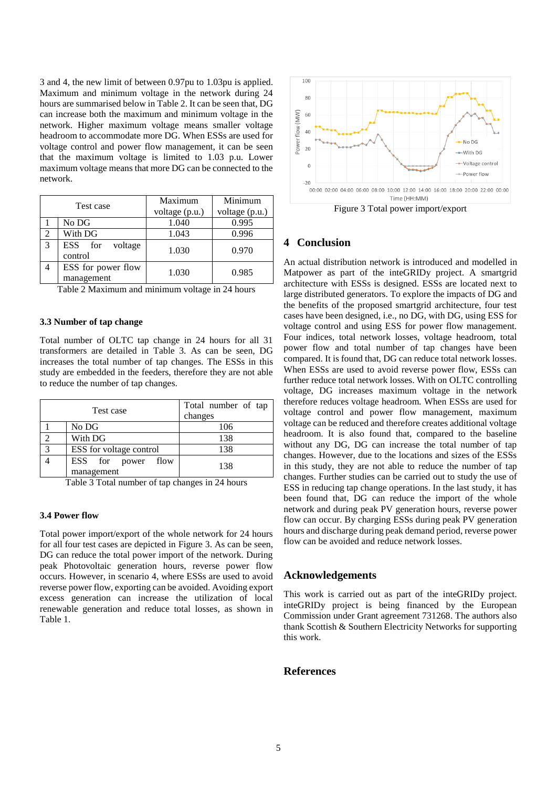3 and 4, the new limit of between 0.97pu to 1.03pu is applied. Maximum and minimum voltage in the network during 24 hours are summarised below in [Table 2.](#page-4-0) It can be seen that, DG can increase both the maximum and minimum voltage in the network. Higher maximum voltage means smaller voltage headroom to accommodate more DG. When ESSs are used for voltage control and power flow management, it can be seen that the maximum voltage is limited to 1.03 p.u. Lower maximum voltage means that more DG can be connected to the network.

| Test case |                                  | Maximum        | Minimum        |
|-----------|----------------------------------|----------------|----------------|
|           |                                  | voltage (p.u.) | voltage (p.u.) |
|           | No DG                            | 1.040          | 0.995          |
| ↑         | With DG                          | 1.043          | 0.996          |
| 3         | ESS for<br>voltage<br>control    | 1.030          | 0.970          |
|           | ESS for power flow<br>management | 1.030          | 0.985          |

<span id="page-4-0"></span>Table 2 Maximum and minimum voltage in 24 hours

### **3.3 Number of tap change**

Total number of OLTC tap change in 24 hours for all 31 transformers are detailed in [Table 3.](#page-4-1) As can be seen, DG increases the total number of tap changes. The ESSs in this study are embedded in the feeders, therefore they are not able to reduce the number of tap changes.

| Test case |                                  | Total number of tap<br>changes |  |
|-----------|----------------------------------|--------------------------------|--|
|           | No DG                            | 106                            |  |
|           | With DG                          | 138                            |  |
| 3         | ESS for voltage control          | 138                            |  |
|           | ESS for power flow<br>management | 138                            |  |

<span id="page-4-1"></span>Table 3 Total number of tap changes in 24 hours

#### **3.4 Power flow**

Total power import/export of the whole network for 24 hours for all four test cases are depicted in [Figure 3.](#page-4-2) As can be seen, DG can reduce the total power import of the network. During peak Photovoltaic generation hours, reverse power flow occurs. However, in scenario 4, where ESSs are used to avoid reverse power flow, exporting can be avoided. Avoiding export excess generation can increase the utilization of local renewable generation and reduce total losses, as shown in [Table 1.](#page-3-2)



# <span id="page-4-2"></span>**4 Conclusion**

An actual distribution network is introduced and modelled in Matpower as part of the inteGRIDy project. A smartgrid architecture with ESSs is designed. ESSs are located next to large distributed generators. To explore the impacts of DG and the benefits of the proposed smartgrid architecture, four test cases have been designed, i.e., no DG, with DG, using ESS for voltage control and using ESS for power flow management. Four indices, total network losses, voltage headroom, total power flow and total number of tap changes have been compared. It is found that, DG can reduce total network losses. When ESSs are used to avoid reverse power flow, ESSs can further reduce total network losses. With on OLTC controlling voltage, DG increases maximum voltage in the network therefore reduces voltage headroom. When ESSs are used for voltage control and power flow management, maximum voltage can be reduced and therefore creates additional voltage headroom. It is also found that, compared to the baseline without any DG, DG can increase the total number of tap changes. However, due to the locations and sizes of the ESSs in this study, they are not able to reduce the number of tap changes. Further studies can be carried out to study the use of ESS in reducing tap change operations. In the last study, it has been found that, DG can reduce the import of the whole network and during peak PV generation hours, reverse power flow can occur. By charging ESSs during peak PV generation hours and discharge during peak demand period, reverse power flow can be avoided and reduce network losses.

## **Acknowledgements**

This work is carried out as part of the inteGRIDy project. inteGRIDy project is being financed by the European Commission under Grant agreement 731268. The authors also thank Scottish & Southern Electricity Networks for supporting this work.

# **References**